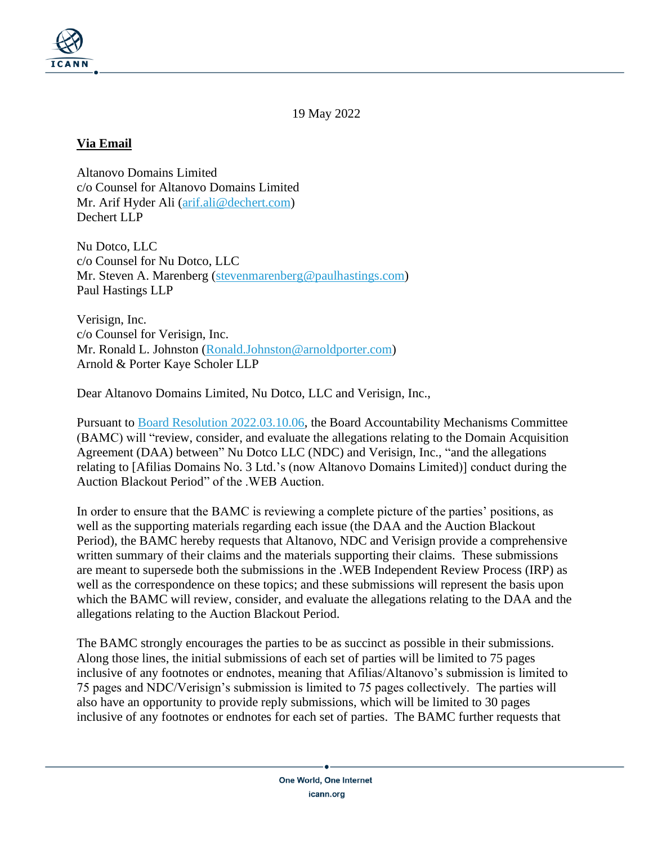

19 May 2022

## **Via Email**

Altanovo Domains Limited c/o Counsel for Altanovo Domains Limited Mr. Arif Hyder Ali [\(arif.ali@dechert.com\)](mailto:arif.ali@dechert.com) Dechert LLP

Nu Dotco, LLC c/o Counsel for Nu Dotco, LLC Mr. Steven A. Marenberg [\(stevenmarenberg@paulhastings.com\)](mailto:stevenmarenberg@paulhastings.com) Paul Hastings LLP

Verisign, Inc. c/o Counsel for Verisign, Inc. Mr. Ronald L. Johnston [\(Ronald.Johnston@arnoldporter.com\)](mailto:Ronald.Johnston@arnoldporter.com) Arnold & Porter Kaye Scholer LLP

Dear Altanovo Domains Limited, Nu Dotco, LLC and Verisign, Inc.,

Pursuant to [Board Resolution 2022.03.10.06,](https://www.icann.org/resources/board-material/resolutions-2022-03-10-en#2.c) the Board Accountability Mechanisms Committee (BAMC) will "review, consider, and evaluate the allegations relating to the Domain Acquisition Agreement (DAA) between" Nu Dotco LLC (NDC) and Verisign, Inc., "and the allegations relating to [Afilias Domains No. 3 Ltd.'s (now Altanovo Domains Limited)] conduct during the Auction Blackout Period" of the .WEB Auction.

In order to ensure that the BAMC is reviewing a complete picture of the parties' positions, as well as the supporting materials regarding each issue (the DAA and the Auction Blackout Period), the BAMC hereby requests that Altanovo, NDC and Verisign provide a comprehensive written summary of their claims and the materials supporting their claims. These submissions are meant to supersede both the submissions in the .WEB Independent Review Process (IRP) as well as the correspondence on these topics; and these submissions will represent the basis upon which the BAMC will review, consider, and evaluate the allegations relating to the DAA and the allegations relating to the Auction Blackout Period.

The BAMC strongly encourages the parties to be as succinct as possible in their submissions. Along those lines, the initial submissions of each set of parties will be limited to 75 pages inclusive of any footnotes or endnotes, meaning that Afilias/Altanovo's submission is limited to 75 pages and NDC/Verisign's submission is limited to 75 pages collectively. The parties will also have an opportunity to provide reply submissions, which will be limited to 30 pages inclusive of any footnotes or endnotes for each set of parties. The BAMC further requests that